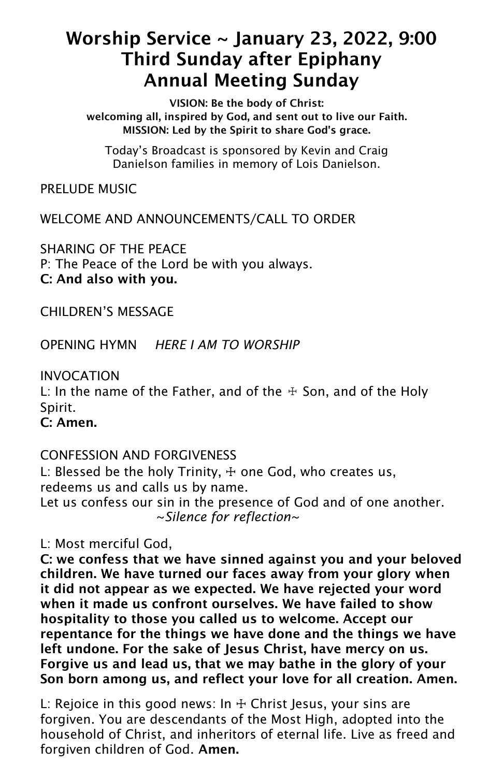# Worship Service ~ January 23, 2022, 9:00 Third Sunday after Epiphany Annual Meeting Sunday

VISION: Be the body of Christ: welcoming all, inspired by God, and sent out to live our Faith. MISSION: Led by the Spirit to share God's grace.

Today's Broadcast is sponsored by Kevin and Craig Danielson families in memory of Lois Danielson.

PRELUDE MUSIC

WELCOME AND ANNOUNCEMENTS/CALL TO ORDER

SHARING OF THE PEACE P: The Peace of the Lord be with you always. C: And also with you.

CHILDREN'S MESSAGE

OPENING HYMN *HERE I AM TO WORSHIP*

INVOCATION

L: In the name of the Father, and of the  $\pm$  Son, and of the Holy Spirit.

C: Amen.

CONFESSION AND FORGIVENESS

L: Blessed be the holy Trinity,  $+$  one God, who creates us, redeems us and calls us by name. Let us confess our sin in the presence of God and of one another. ~*Silence for reflection~*

L: Most merciful God,

C: we confess that we have sinned against you and your beloved children. We have turned our faces away from your glory when it did not appear as we expected. We have rejected your word when it made us confront ourselves. We have failed to show hospitality to those you called us to welcome. Accept our repentance for the things we have done and the things we have left undone. For the sake of Jesus Christ, have mercy on us. Forgive us and lead us, that we may bathe in the glory of your Son born among us, and reflect your love for all creation. Amen.

L: Rejoice in this good news: In  $+$  Christ Jesus, your sins are forgiven. You are descendants of the Most High, adopted into the household of Christ, and inheritors of eternal life. Live as freed and forgiven children of God. Amen.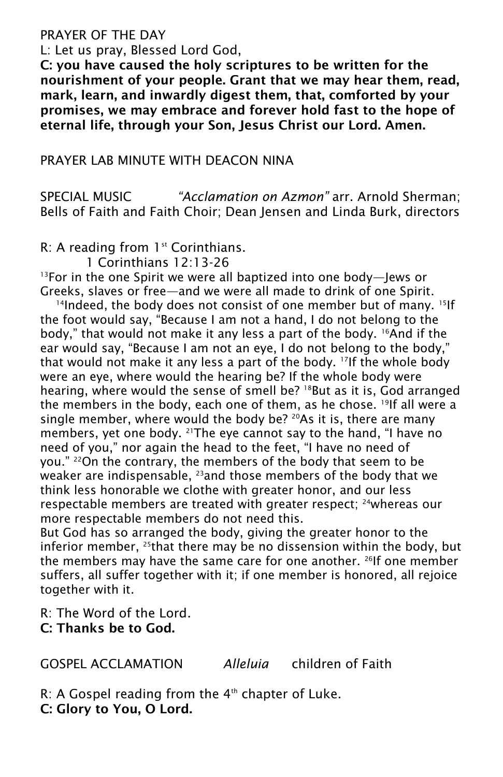#### PRAYER OF THE DAY

L: Let us pray, Blessed Lord God,

C: you have caused the holy scriptures to be written for the nourishment of your people. Grant that we may hear them, read, mark, learn, and inwardly digest them, that, comforted by your promises, we may embrace and forever hold fast to the hope of eternal life, through your Son, Jesus Christ our Lord. Amen.

## PRAYER LAB MINUTE WITH DEACON NINA

SPECIAL MUSIC *"Acclamation on Azmon"* arr. Arnold Sherman; Bells of Faith and Faith Choir; Dean Jensen and Linda Burk, directors

R: A reading from 1<sup>st</sup> Corinthians.

1 Corinthians 12:13-26

<sup>13</sup>For in the one Spirit we were all baptized into one body—Jews or Greeks, slaves or free—and we were all made to drink of one Spirit.

<sup>14</sup>Indeed, the body does not consist of one member but of many. <sup>15</sup>lf the foot would say, "Because I am not a hand, I do not belong to the body," that would not make it any less a part of the body. <sup>16</sup>And if the ear would say, "Because I am not an eye, I do not belong to the body," that would not make it any less a part of the body. <sup>17</sup> If the whole body were an eye, where would the hearing be? If the whole body were hearing, where would the sense of smell be? <sup>18</sup>But as it is, God arranged the members in the body, each one of them, as he chose. <sup>19</sup> If all were a single member, where would the body be?  $20As$  it is, there are many members, yet one body. <sup>21</sup>The eye cannot say to the hand, "I have no need of you," nor again the head to the feet, "I have no need of you." <sup>22</sup>On the contrary, the members of the body that seem to be weaker are indispensable, <sup>23</sup> and those members of the body that we think less honorable we clothe with greater honor, and our less respectable members are treated with greater respect; <sup>24</sup>whereas our more respectable members do not need this.

But God has so arranged the body, giving the greater honor to the inferior member, <sup>25</sup> that there may be no dissension within the body, but the members may have the same care for one another.  $^{26}$  If one member suffers, all suffer together with it; if one member is honored, all rejoice together with it.

R: The Word of the Lord. C: Thanks be to God.

GOSPEL ACCLAMATION *Alleluia* children of Faith

 $R$ : A Gospel reading from the  $4<sup>th</sup>$  chapter of Luke. C: Glory to You, O Lord.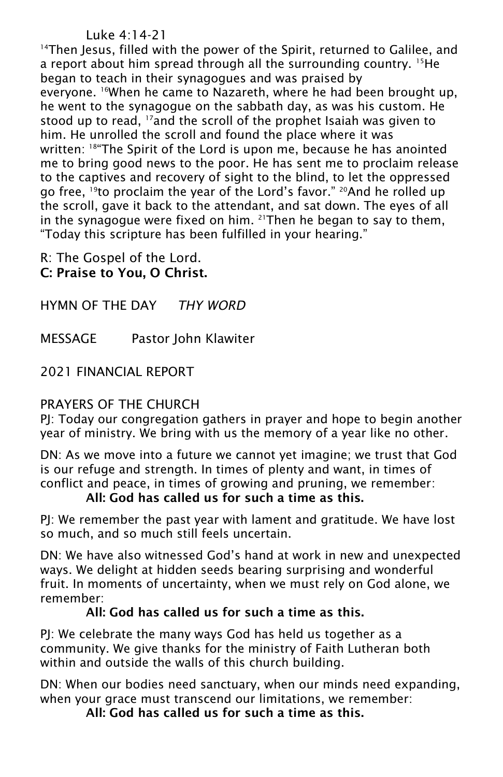## Luke 4:14-21

<sup>14</sup>Then Jesus, filled with the power of the Spirit, returned to Galilee, and a report about him spread through all the surrounding country. <sup>15</sup>He began to teach in their synagogues and was praised by everyone. <sup>16</sup>When he came to Nazareth, where he had been brought up, he went to the synagogue on the sabbath day, as was his custom. He stood up to read, <sup>17</sup>and the scroll of the prophet Isaiah was given to him. He unrolled the scroll and found the place where it was written: <sup>18</sup>"The Spirit of the Lord is upon me, because he has anointed me to bring good news to the poor. He has sent me to proclaim release to the captives and recovery of sight to the blind, to let the oppressed go free, <sup>19</sup>to proclaim the year of the Lord's favor." <sup>20</sup>And he rolled up the scroll, gave it back to the attendant, and sat down. The eyes of all in the synagogue were fixed on him.  $21$ Then he began to say to them, "Today this scripture has been fulfilled in your hearing."

R: The Gospel of the Lord. C: Praise to You, O Christ.

HYMN OF THE DAY *THY WORD*

MESSAGE Pastor John Klawiter

2021 FINANCIAL REPORT

## PRAYERS OF THE CHURCH

PJ: Today our congregation gathers in prayer and hope to begin another year of ministry. We bring with us the memory of a year like no other.

DN: As we move into a future we cannot yet imagine; we trust that God is our refuge and strength. In times of plenty and want, in times of conflict and peace, in times of growing and pruning, we remember:

#### All: God has called us for such a time as this.

PJ: We remember the past year with lament and gratitude. We have lost so much, and so much still feels uncertain.

DN: We have also witnessed God's hand at work in new and unexpected ways. We delight at hidden seeds bearing surprising and wonderful fruit. In moments of uncertainty, when we must rely on God alone, we remember:

## All: God has called us for such a time as this.

PJ: We celebrate the many ways God has held us together as a community. We give thanks for the ministry of Faith Lutheran both within and outside the walls of this church building.

DN: When our bodies need sanctuary, when our minds need expanding, when your grace must transcend our limitations, we remember:

All: God has called us for such a time as this.